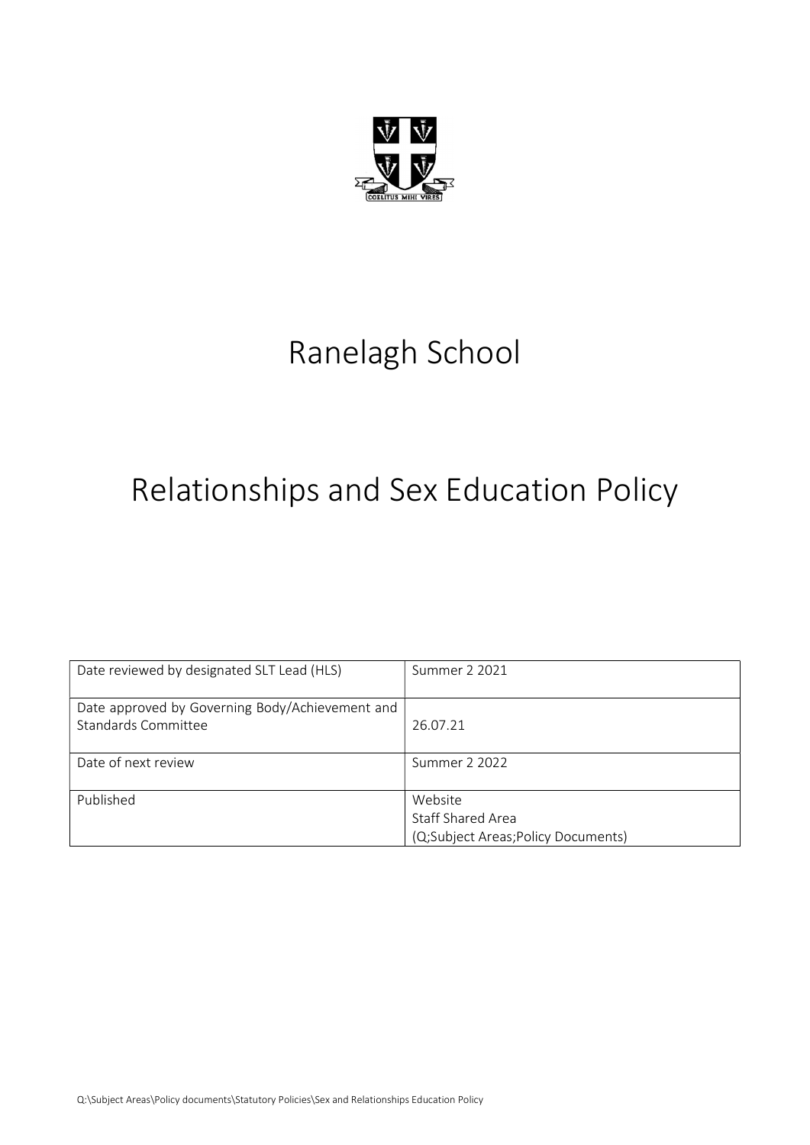

# Ranelagh School

# Relationships and Sex Education Policy

| Date reviewed by designated SLT Lead (HLS)      | Summer 2 2021                      |
|-------------------------------------------------|------------------------------------|
|                                                 |                                    |
| Date approved by Governing Body/Achievement and |                                    |
| Standards Committee                             | 26.07.21                           |
|                                                 |                                    |
| Date of next review                             | Summer 2 2022                      |
|                                                 |                                    |
| Published                                       | Website                            |
|                                                 | Staff Shared Area                  |
|                                                 | (Q;Subject Areas;Policy Documents) |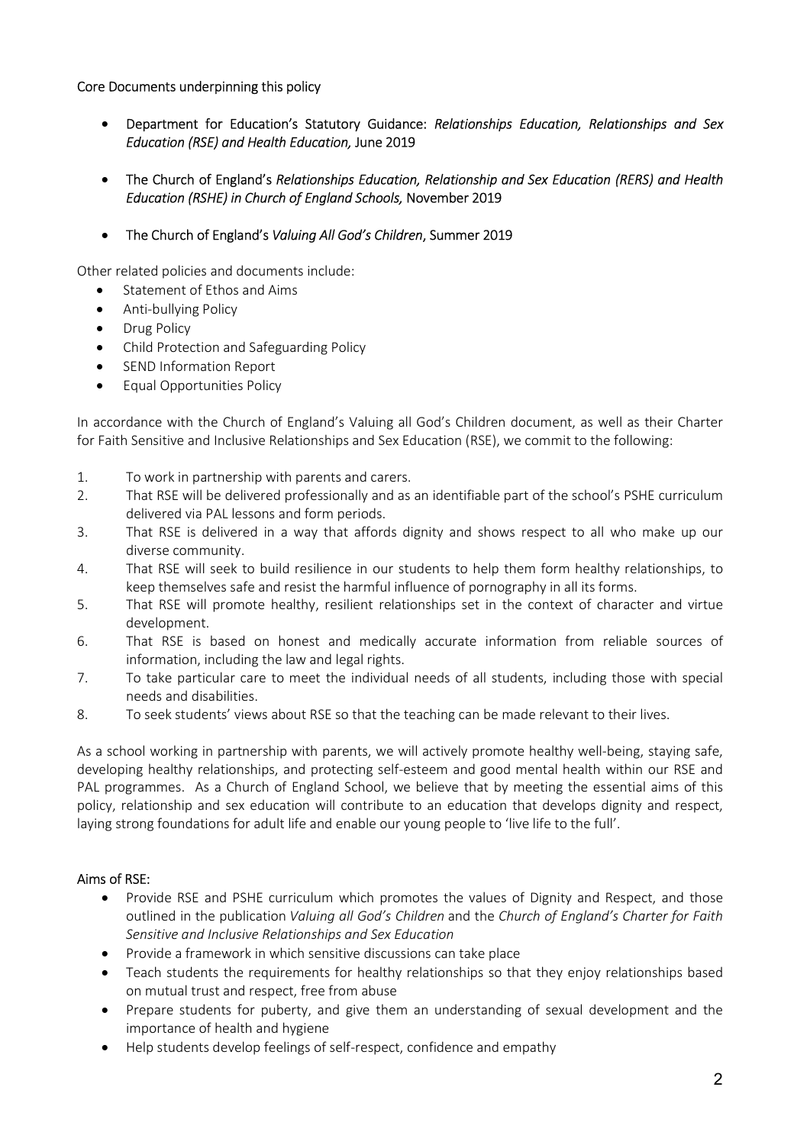## Core Documents underpinning this policy

- Department for Education's Statutory Guidance: Relationships Education, Relationships and Sex Education (RSE) and Health Education, June 2019
- The Church of England's Relationships Education, Relationship and Sex Education (RERS) and Health Education (RSHE) in Church of England Schools, November 2019
- The Church of England's Valuing All God's Children, Summer 2019

Other related policies and documents include:

- Statement of Ethos and Aims
- Anti-bullying Policy
- Drug Policy
- Child Protection and Safeguarding Policy
- SEND Information Report
- Equal Opportunities Policy

In accordance with the Church of England's Valuing all God's Children document, as well as their Charter for Faith Sensitive and Inclusive Relationships and Sex Education (RSE), we commit to the following:

- 1. To work in partnership with parents and carers.
- 2. That RSE will be delivered professionally and as an identifiable part of the school's PSHE curriculum delivered via PAL lessons and form periods.
- 3. That RSE is delivered in a way that affords dignity and shows respect to all who make up our diverse community.
- 4. That RSE will seek to build resilience in our students to help them form healthy relationships, to keep themselves safe and resist the harmful influence of pornography in all its forms.
- 5. That RSE will promote healthy, resilient relationships set in the context of character and virtue development.
- 6. That RSE is based on honest and medically accurate information from reliable sources of information, including the law and legal rights.
- 7. To take particular care to meet the individual needs of all students, including those with special needs and disabilities.
- 8. To seek students' views about RSE so that the teaching can be made relevant to their lives.

As a school working in partnership with parents, we will actively promote healthy well-being, staying safe, developing healthy relationships, and protecting self-esteem and good mental health within our RSE and PAL programmes. As a Church of England School, we believe that by meeting the essential aims of this policy, relationship and sex education will contribute to an education that develops dignity and respect, laying strong foundations for adult life and enable our young people to 'live life to the full'.

#### Aims of RSE:

- Provide RSE and PSHE curriculum which promotes the values of Dignity and Respect, and those outlined in the publication Valuing all God's Children and the Church of England's Charter for Faith Sensitive and Inclusive Relationships and Sex Education
- Provide a framework in which sensitive discussions can take place
- Teach students the requirements for healthy relationships so that they enjoy relationships based on mutual trust and respect, free from abuse
- Prepare students for puberty, and give them an understanding of sexual development and the importance of health and hygiene
- Help students develop feelings of self-respect, confidence and empathy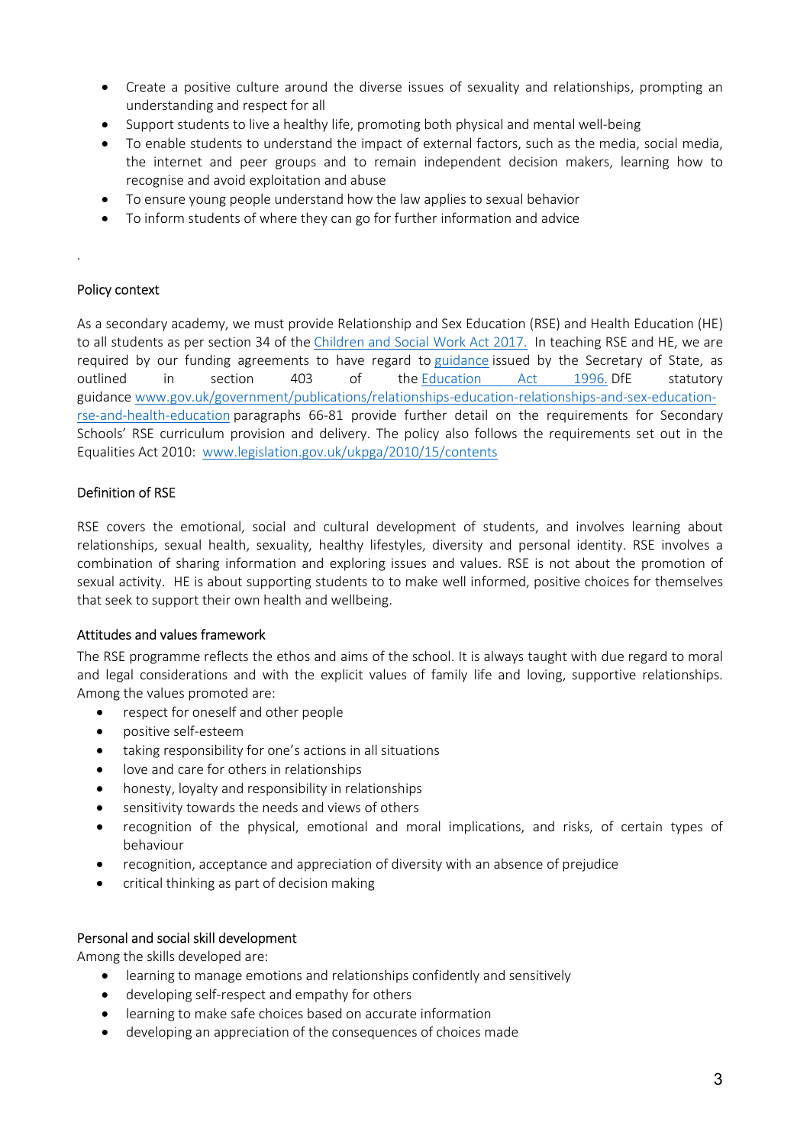- Create a positive culture around the diverse issues of sexuality and relationships, prompting an understanding and respect for all
- Support students to live a healthy life, promoting both physical and mental well-being
- To enable students to understand the impact of external factors, such as the media, social media, the internet and peer groups and to remain independent decision makers, learning how to recognise and avoid exploitation and abuse
- To ensure young people understand how the law applies to sexual behavior
- To inform students of where they can go for further information and advice

#### Policy context

.

As a secondary academy, we must provide Relationship and Sex Education (RSE) and Health Education (HE) to all students as per section 34 of the Children and Social Work Act 2017. In teaching RSE and HE, we are required by our funding agreements to have regard to guidance issued by the Secretary of State, as outlined in section 403 of the Education Act 1996. DfE statutory guidance www.gov.uk/government/publications/relationships-education-relationships-and-sex-educationrse-and-health-education paragraphs 66-81 provide further detail on the requirements for Secondary Schools' RSE curriculum provision and delivery. The policy also follows the requirements set out in the Equalities Act 2010: www.legislation.gov.uk/ukpga/2010/15/contents

#### Definition of RSE

RSE covers the emotional, social and cultural development of students, and involves learning about relationships, sexual health, sexuality, healthy lifestyles, diversity and personal identity. RSE involves a combination of sharing information and exploring issues and values. RSE is not about the promotion of sexual activity. HE is about supporting students to to make well informed, positive choices for themselves that seek to support their own health and wellbeing.

#### Attitudes and values framework

The RSE programme reflects the ethos and aims of the school. It is always taught with due regard to moral and legal considerations and with the explicit values of family life and loving, supportive relationships. Among the values promoted are:

- respect for oneself and other people
- positive self-esteem
- taking responsibility for one's actions in all situations
- love and care for others in relationships
- honesty, loyalty and responsibility in relationships
- sensitivity towards the needs and views of others
- recognition of the physical, emotional and moral implications, and risks, of certain types of behaviour
- recognition, acceptance and appreciation of diversity with an absence of prejudice
- critical thinking as part of decision making

#### Personal and social skill development

Among the skills developed are:

- learning to manage emotions and relationships confidently and sensitively
- developing self-respect and empathy for others
- learning to make safe choices based on accurate information
- developing an appreciation of the consequences of choices made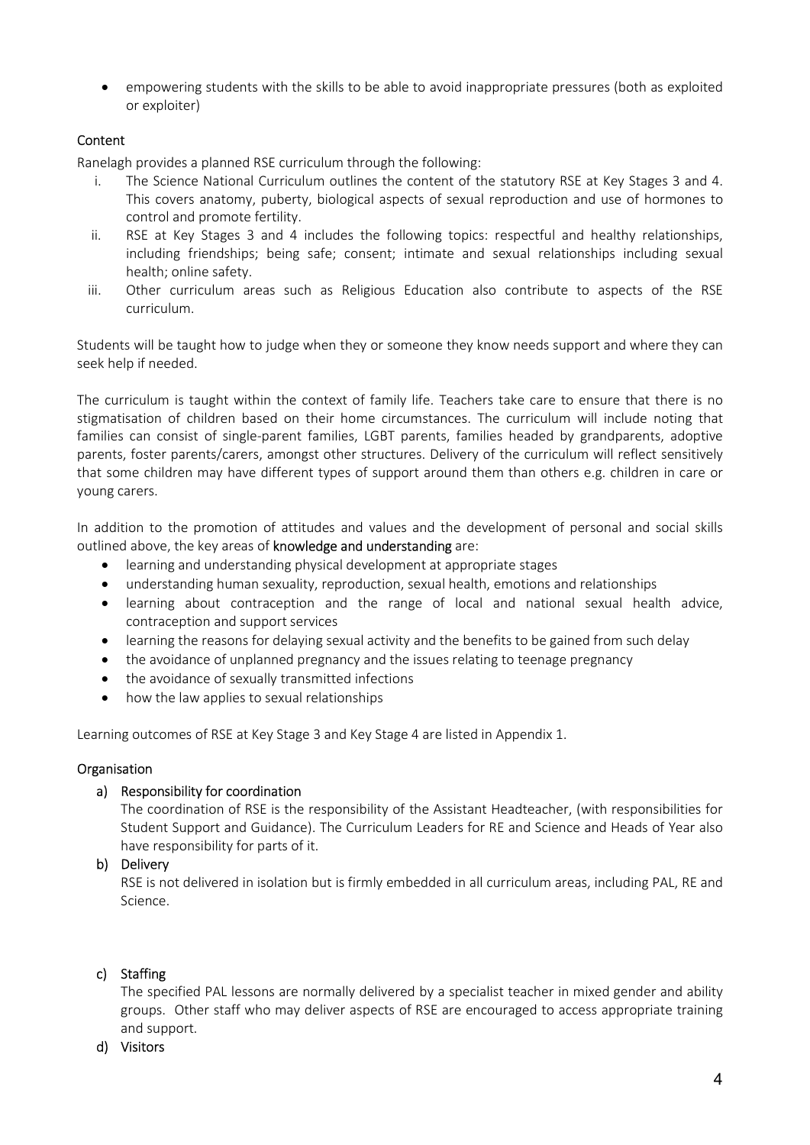empowering students with the skills to be able to avoid inappropriate pressures (both as exploited or exploiter)

## Content

Ranelagh provides a planned RSE curriculum through the following:

- i. The Science National Curriculum outlines the content of the statutory RSE at Key Stages 3 and 4. This covers anatomy, puberty, biological aspects of sexual reproduction and use of hormones to control and promote fertility.
- ii. RSE at Key Stages 3 and 4 includes the following topics: respectful and healthy relationships, including friendships; being safe; consent; intimate and sexual relationships including sexual health; online safety.
- iii. Other curriculum areas such as Religious Education also contribute to aspects of the RSE curriculum.

Students will be taught how to judge when they or someone they know needs support and where they can seek help if needed.

The curriculum is taught within the context of family life. Teachers take care to ensure that there is no stigmatisation of children based on their home circumstances. The curriculum will include noting that families can consist of single-parent families, LGBT parents, families headed by grandparents, adoptive parents, foster parents/carers, amongst other structures. Delivery of the curriculum will reflect sensitively that some children may have different types of support around them than others e.g. children in care or young carers.

In addition to the promotion of attitudes and values and the development of personal and social skills outlined above, the key areas of knowledge and understanding are:

- learning and understanding physical development at appropriate stages
- understanding human sexuality, reproduction, sexual health, emotions and relationships
- learning about contraception and the range of local and national sexual health advice, contraception and support services
- learning the reasons for delaying sexual activity and the benefits to be gained from such delay
- the avoidance of unplanned pregnancy and the issues relating to teenage pregnancy
- the avoidance of sexually transmitted infections
- how the law applies to sexual relationships

Learning outcomes of RSE at Key Stage 3 and Key Stage 4 are listed in Appendix 1.

#### **Organisation**

#### a) Responsibility for coordination

The coordination of RSE is the responsibility of the Assistant Headteacher, (with responsibilities for Student Support and Guidance). The Curriculum Leaders for RE and Science and Heads of Year also have responsibility for parts of it.

#### b) Delivery

RSE is not delivered in isolation but is firmly embedded in all curriculum areas, including PAL, RE and Science.

#### c) Staffing

The specified PAL lessons are normally delivered by a specialist teacher in mixed gender and ability groups. Other staff who may deliver aspects of RSE are encouraged to access appropriate training and support.

#### d) Visitors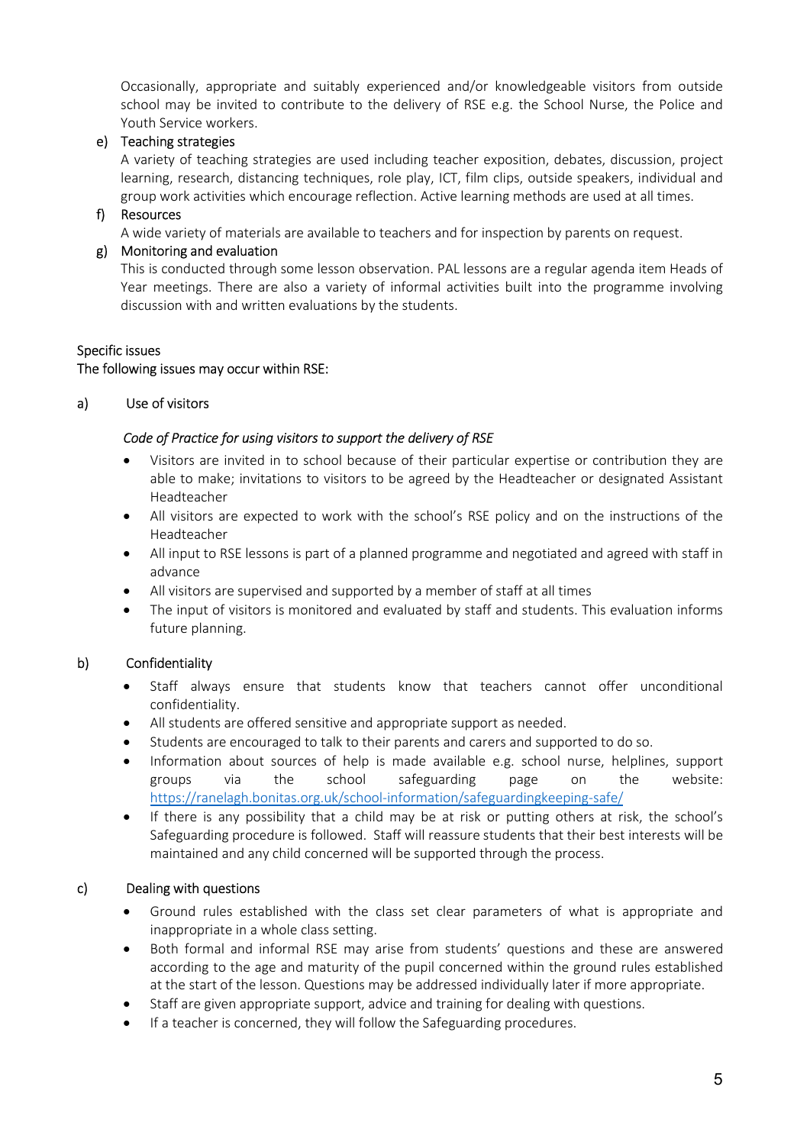Occasionally, appropriate and suitably experienced and/or knowledgeable visitors from outside school may be invited to contribute to the delivery of RSE e.g. the School Nurse, the Police and Youth Service workers.

## e) Teaching strategies

A variety of teaching strategies are used including teacher exposition, debates, discussion, project learning, research, distancing techniques, role play, ICT, film clips, outside speakers, individual and group work activities which encourage reflection. Active learning methods are used at all times.

## f) Resources

A wide variety of materials are available to teachers and for inspection by parents on request.

#### g) Monitoring and evaluation

This is conducted through some lesson observation. PAL lessons are a regular agenda item Heads of Year meetings. There are also a variety of informal activities built into the programme involving discussion with and written evaluations by the students.

#### Specific issues

#### The following issues may occur within RSE:

#### a) Use of visitors

#### Code of Practice for using visitors to support the delivery of RSE

- Visitors are invited in to school because of their particular expertise or contribution they are able to make; invitations to visitors to be agreed by the Headteacher or designated Assistant Headteacher
- All visitors are expected to work with the school's RSE policy and on the instructions of the Headteacher
- All input to RSE lessons is part of a planned programme and negotiated and agreed with staff in advance
- All visitors are supervised and supported by a member of staff at all times
- The input of visitors is monitored and evaluated by staff and students. This evaluation informs future planning.

#### b) Confidentiality

- Staff always ensure that students know that teachers cannot offer unconditional confidentiality.
- All students are offered sensitive and appropriate support as needed.
- Students are encouraged to talk to their parents and carers and supported to do so.
- Information about sources of help is made available e.g. school nurse, helplines, support groups via the school safeguarding page on the website: https://ranelagh.bonitas.org.uk/school-information/safeguardingkeeping-safe/
- If there is any possibility that a child may be at risk or putting others at risk, the school's Safeguarding procedure is followed. Staff will reassure students that their best interests will be maintained and any child concerned will be supported through the process.

#### c) Dealing with questions

- Ground rules established with the class set clear parameters of what is appropriate and inappropriate in a whole class setting.
- Both formal and informal RSE may arise from students' questions and these are answered according to the age and maturity of the pupil concerned within the ground rules established at the start of the lesson. Questions may be addressed individually later if more appropriate.
- Staff are given appropriate support, advice and training for dealing with questions.
- If a teacher is concerned, they will follow the Safeguarding procedures.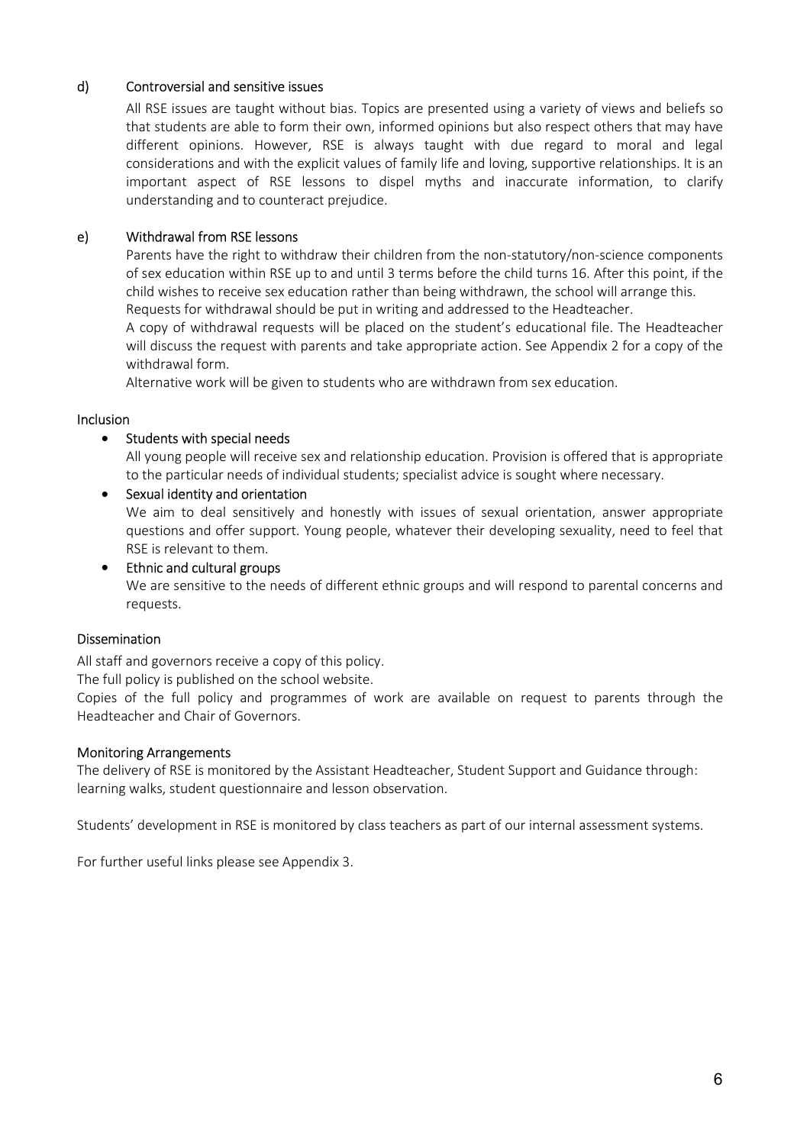## d) Controversial and sensitive issues

All RSE issues are taught without bias. Topics are presented using a variety of views and beliefs so that students are able to form their own, informed opinions but also respect others that may have different opinions. However, RSE is always taught with due regard to moral and legal considerations and with the explicit values of family life and loving, supportive relationships. It is an important aspect of RSE lessons to dispel myths and inaccurate information, to clarify understanding and to counteract prejudice.

## e) Withdrawal from RSE lessons

Parents have the right to withdraw their children from the non-statutory/non-science components of sex education within RSE up to and until 3 terms before the child turns 16. After this point, if the child wishes to receive sex education rather than being withdrawn, the school will arrange this. Requests for withdrawal should be put in writing and addressed to the Headteacher.

A copy of withdrawal requests will be placed on the student's educational file. The Headteacher will discuss the request with parents and take appropriate action. See Appendix 2 for a copy of the withdrawal form.

Alternative work will be given to students who are withdrawn from sex education.

#### Inclusion

#### • Students with special needs

All young people will receive sex and relationship education. Provision is offered that is appropriate to the particular needs of individual students; specialist advice is sought where necessary.

• Sexual identity and orientation

We aim to deal sensitively and honestly with issues of sexual orientation, answer appropriate questions and offer support. Young people, whatever their developing sexuality, need to feel that RSE is relevant to them.

• Ethnic and cultural groups We are sensitive to the needs of different ethnic groups and will respond to parental concerns and requests.

#### Dissemination

All staff and governors receive a copy of this policy.

The full policy is published on the school website.

Copies of the full policy and programmes of work are available on request to parents through the Headteacher and Chair of Governors.

#### Monitoring Arrangements

The delivery of RSE is monitored by the Assistant Headteacher, Student Support and Guidance through: learning walks, student questionnaire and lesson observation.

Students' development in RSE is monitored by class teachers as part of our internal assessment systems.

For further useful links please see Appendix 3.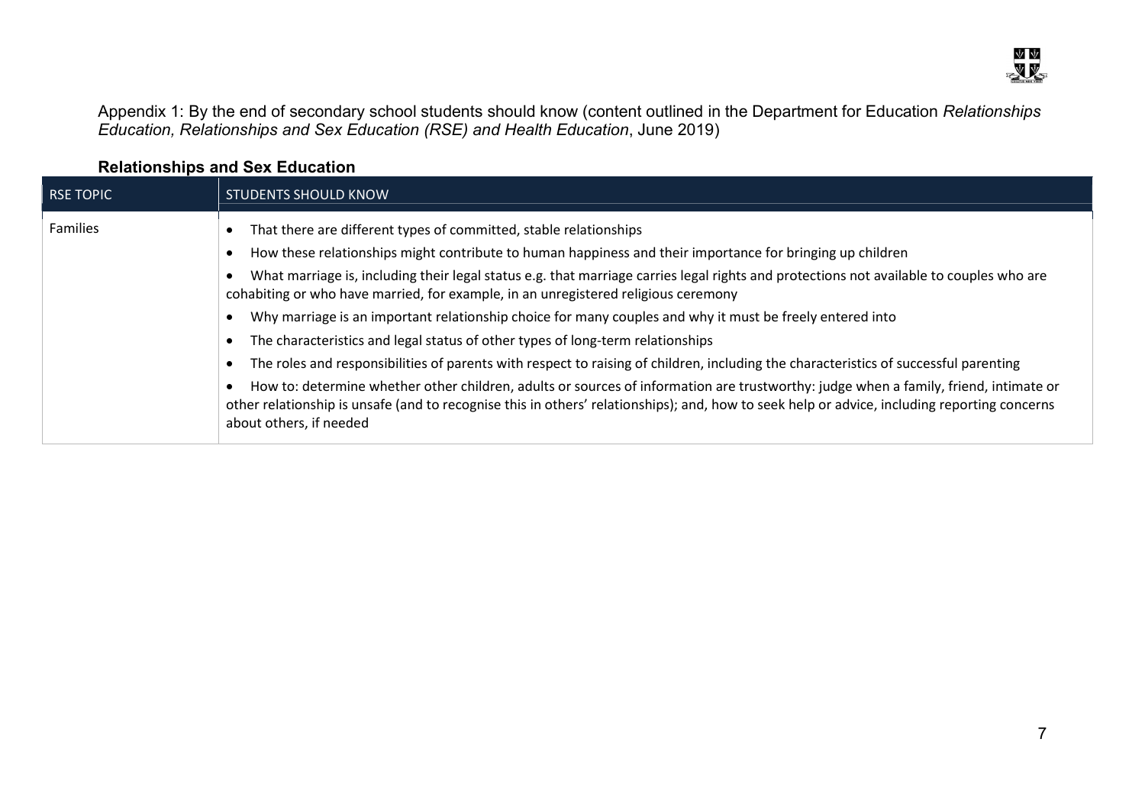Appendix 1: By the end of secondary school students should know (content outlined in the Department for Education *Relationships* Education, Relationships and Sex Education (RSE) and Health Education, June 2019)

|                  | $1.91411911911199$ and $90A$ equodity.                                                                                                                                                                                                                                                                                                                                                                                                                                                                                                                                                                                                                                                                                                                                                                                                                                                                                                                                                                                                                                   |
|------------------|--------------------------------------------------------------------------------------------------------------------------------------------------------------------------------------------------------------------------------------------------------------------------------------------------------------------------------------------------------------------------------------------------------------------------------------------------------------------------------------------------------------------------------------------------------------------------------------------------------------------------------------------------------------------------------------------------------------------------------------------------------------------------------------------------------------------------------------------------------------------------------------------------------------------------------------------------------------------------------------------------------------------------------------------------------------------------|
| <b>RSE TOPIC</b> | <b>STUDENTS SHOULD KNOW</b>                                                                                                                                                                                                                                                                                                                                                                                                                                                                                                                                                                                                                                                                                                                                                                                                                                                                                                                                                                                                                                              |
| <b>Families</b>  | That there are different types of committed, stable relationships<br>How these relationships might contribute to human happiness and their importance for bringing up children<br>What marriage is, including their legal status e.g. that marriage carries legal rights and protections not available to couples who are<br>cohabiting or who have married, for example, in an unregistered religious ceremony<br>Why marriage is an important relationship choice for many couples and why it must be freely entered into<br>The characteristics and legal status of other types of long-term relationships<br>The roles and responsibilities of parents with respect to raising of children, including the characteristics of successful parenting<br>How to: determine whether other children, adults or sources of information are trustworthy: judge when a family, friend, intimate or<br>other relationship is unsafe (and to recognise this in others' relationships); and, how to seek help or advice, including reporting concerns<br>about others, if needed |

# Relationships and Sex Education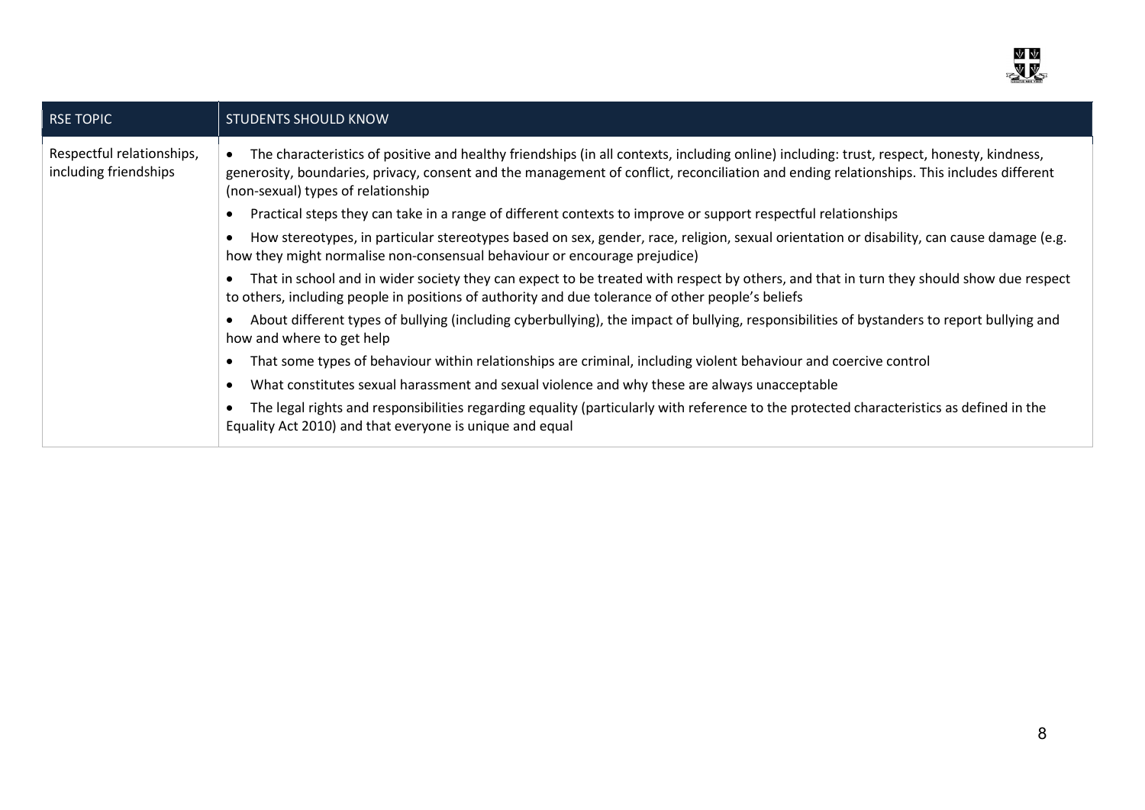

| The characteristics of positive and healthy friendships (in all contexts, including online) including: trust, respect, honesty, kindness,                                                                                                    |
|----------------------------------------------------------------------------------------------------------------------------------------------------------------------------------------------------------------------------------------------|
| generosity, boundaries, privacy, consent and the management of conflict, reconciliation and ending relationships. This includes different<br>(non-sexual) types of relationship                                                              |
| Practical steps they can take in a range of different contexts to improve or support respectful relationships                                                                                                                                |
| How stereotypes, in particular stereotypes based on sex, gender, race, religion, sexual orientation or disability, can cause damage (e.g.<br>how they might normalise non-consensual behaviour or encourage prejudice)                       |
| That in school and in wider society they can expect to be treated with respect by others, and that in turn they should show due respect<br>to others, including people in positions of authority and due tolerance of other people's beliefs |
| About different types of bullying (including cyberbullying), the impact of bullying, responsibilities of bystanders to report bullying and<br>how and where to get help                                                                      |
| That some types of behaviour within relationships are criminal, including violent behaviour and coercive control                                                                                                                             |
| What constitutes sexual harassment and sexual violence and why these are always unacceptable                                                                                                                                                 |
| The legal rights and responsibilities regarding equality (particularly with reference to the protected characteristics as defined in the<br>Equality Act 2010) and that everyone is unique and equal                                         |
|                                                                                                                                                                                                                                              |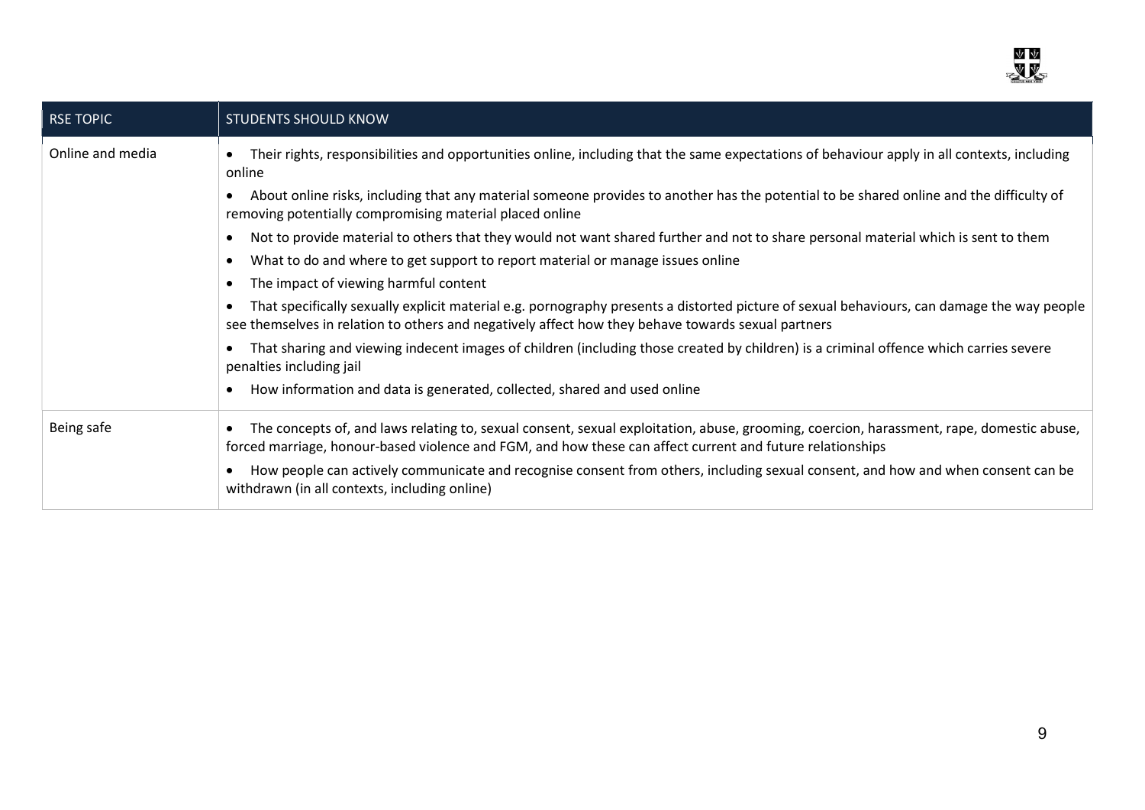

| RSE TOPIC        | <b>STUDENTS SHOULD KNOW</b>                                                                                                                                                                                                                                        |
|------------------|--------------------------------------------------------------------------------------------------------------------------------------------------------------------------------------------------------------------------------------------------------------------|
| Online and media | Their rights, responsibilities and opportunities online, including that the same expectations of behaviour apply in all contexts, including<br>$\bullet$<br>online                                                                                                 |
|                  | About online risks, including that any material someone provides to another has the potential to be shared online and the difficulty of<br>$\bullet$<br>removing potentially compromising material placed online                                                   |
|                  | Not to provide material to others that they would not want shared further and not to share personal material which is sent to them<br>$\bullet$                                                                                                                    |
|                  | What to do and where to get support to report material or manage issues online<br>$\bullet$                                                                                                                                                                        |
|                  | The impact of viewing harmful content<br>$\bullet$                                                                                                                                                                                                                 |
|                  | That specifically sexually explicit material e.g. pornography presents a distorted picture of sexual behaviours, can damage the way people<br>see themselves in relation to others and negatively affect how they behave towards sexual partners                   |
|                  | That sharing and viewing indecent images of children (including those created by children) is a criminal offence which carries severe<br>$\bullet$<br>penalties including jail                                                                                     |
|                  | How information and data is generated, collected, shared and used online<br>$\bullet$                                                                                                                                                                              |
| Being safe       | The concepts of, and laws relating to, sexual consent, sexual exploitation, abuse, grooming, coercion, harassment, rape, domestic abuse,<br>$\bullet$<br>forced marriage, honour-based violence and FGM, and how these can affect current and future relationships |
|                  | How people can actively communicate and recognise consent from others, including sexual consent, and how and when consent can be<br>$\bullet$<br>withdrawn (in all contexts, including online)                                                                     |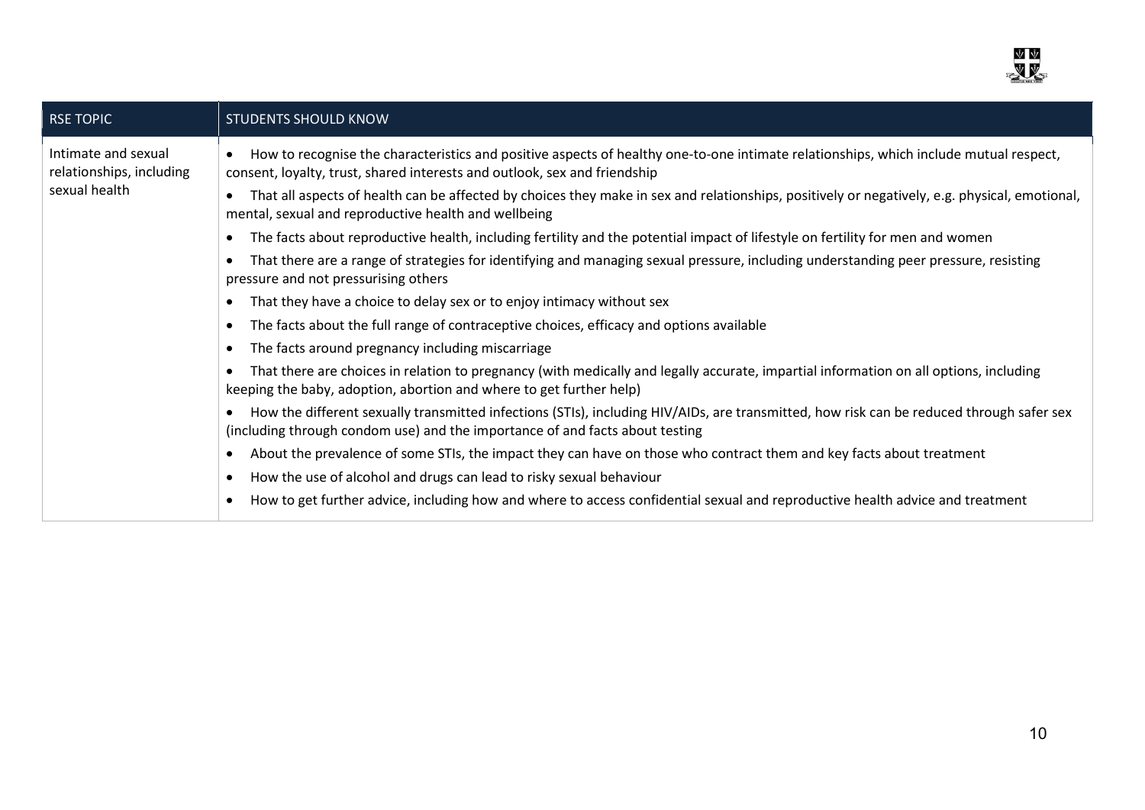

| <b>RSE TOPIC</b>                                                 | <b>STUDENTS SHOULD KNOW</b>                                                                                                                                                                                                           |
|------------------------------------------------------------------|---------------------------------------------------------------------------------------------------------------------------------------------------------------------------------------------------------------------------------------|
| Intimate and sexual<br>relationships, including<br>sexual health | How to recognise the characteristics and positive aspects of healthy one-to-one intimate relationships, which include mutual respect,<br>$\bullet$<br>consent, loyalty, trust, shared interests and outlook, sex and friendship       |
|                                                                  | That all aspects of health can be affected by choices they make in sex and relationships, positively or negatively, e.g. physical, emotional,<br>$\bullet$<br>mental, sexual and reproductive health and wellbeing                    |
|                                                                  | The facts about reproductive health, including fertility and the potential impact of lifestyle on fertility for men and women<br>$\bullet$                                                                                            |
|                                                                  | That there are a range of strategies for identifying and managing sexual pressure, including understanding peer pressure, resisting<br>$\bullet$<br>pressure and not pressurising others                                              |
|                                                                  | That they have a choice to delay sex or to enjoy intimacy without sex<br>$\bullet$                                                                                                                                                    |
|                                                                  | The facts about the full range of contraceptive choices, efficacy and options available<br>$\bullet$                                                                                                                                  |
|                                                                  | The facts around pregnancy including miscarriage<br>$\bullet$                                                                                                                                                                         |
|                                                                  | That there are choices in relation to pregnancy (with medically and legally accurate, impartial information on all options, including<br>$\bullet$<br>keeping the baby, adoption, abortion and where to get further help)             |
|                                                                  | How the different sexually transmitted infections (STIs), including HIV/AIDs, are transmitted, how risk can be reduced through safer sex<br>$\bullet$<br>(including through condom use) and the importance of and facts about testing |
|                                                                  | About the prevalence of some STIs, the impact they can have on those who contract them and key facts about treatment<br>$\bullet$                                                                                                     |
|                                                                  | How the use of alcohol and drugs can lead to risky sexual behaviour<br>$\bullet$                                                                                                                                                      |
|                                                                  | How to get further advice, including how and where to access confidential sexual and reproductive health advice and treatment<br>$\bullet$                                                                                            |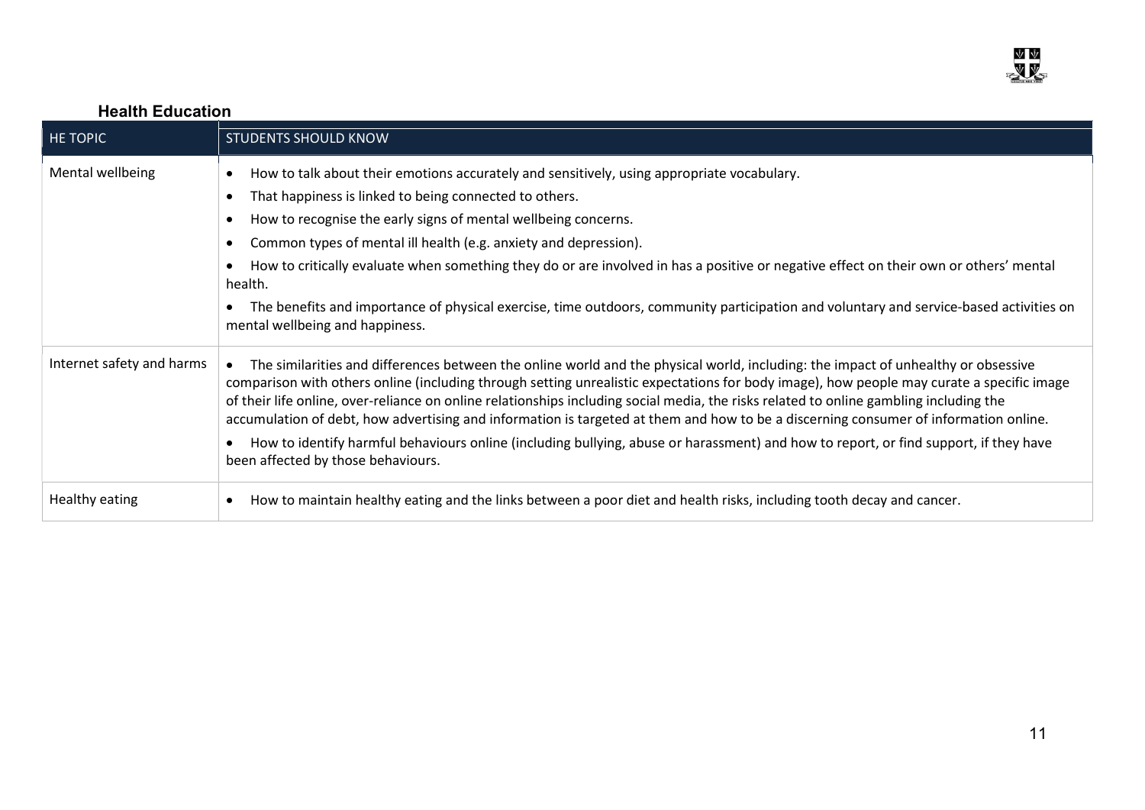

# Health Education

| <b>HE TOPIC</b>           | <b>STUDENTS SHOULD KNOW</b>                                                                                                                                                                                                                                                                                                                                                                                                                                                                                                                                                                                                                                                                                                                                              |
|---------------------------|--------------------------------------------------------------------------------------------------------------------------------------------------------------------------------------------------------------------------------------------------------------------------------------------------------------------------------------------------------------------------------------------------------------------------------------------------------------------------------------------------------------------------------------------------------------------------------------------------------------------------------------------------------------------------------------------------------------------------------------------------------------------------|
| Mental wellbeing          | How to talk about their emotions accurately and sensitively, using appropriate vocabulary.<br>$\bullet$<br>That happiness is linked to being connected to others.<br>$\bullet$<br>How to recognise the early signs of mental wellbeing concerns.<br>$\bullet$<br>Common types of mental ill health (e.g. anxiety and depression).<br>$\bullet$<br>How to critically evaluate when something they do or are involved in has a positive or negative effect on their own or others' mental<br>$\bullet$<br>health.<br>The benefits and importance of physical exercise, time outdoors, community participation and voluntary and service-based activities on<br>$\bullet$<br>mental wellbeing and happiness.                                                                |
| Internet safety and harms | The similarities and differences between the online world and the physical world, including: the impact of unhealthy or obsessive<br>$\bullet$<br>comparison with others online (including through setting unrealistic expectations for body image), how people may curate a specific image<br>of their life online, over-reliance on online relationships including social media, the risks related to online gambling including the<br>accumulation of debt, how advertising and information is targeted at them and how to be a discerning consumer of information online.<br>How to identify harmful behaviours online (including bullying, abuse or harassment) and how to report, or find support, if they have<br>$\bullet$<br>been affected by those behaviours. |
| Healthy eating            | How to maintain healthy eating and the links between a poor diet and health risks, including tooth decay and cancer.<br>$\bullet$                                                                                                                                                                                                                                                                                                                                                                                                                                                                                                                                                                                                                                        |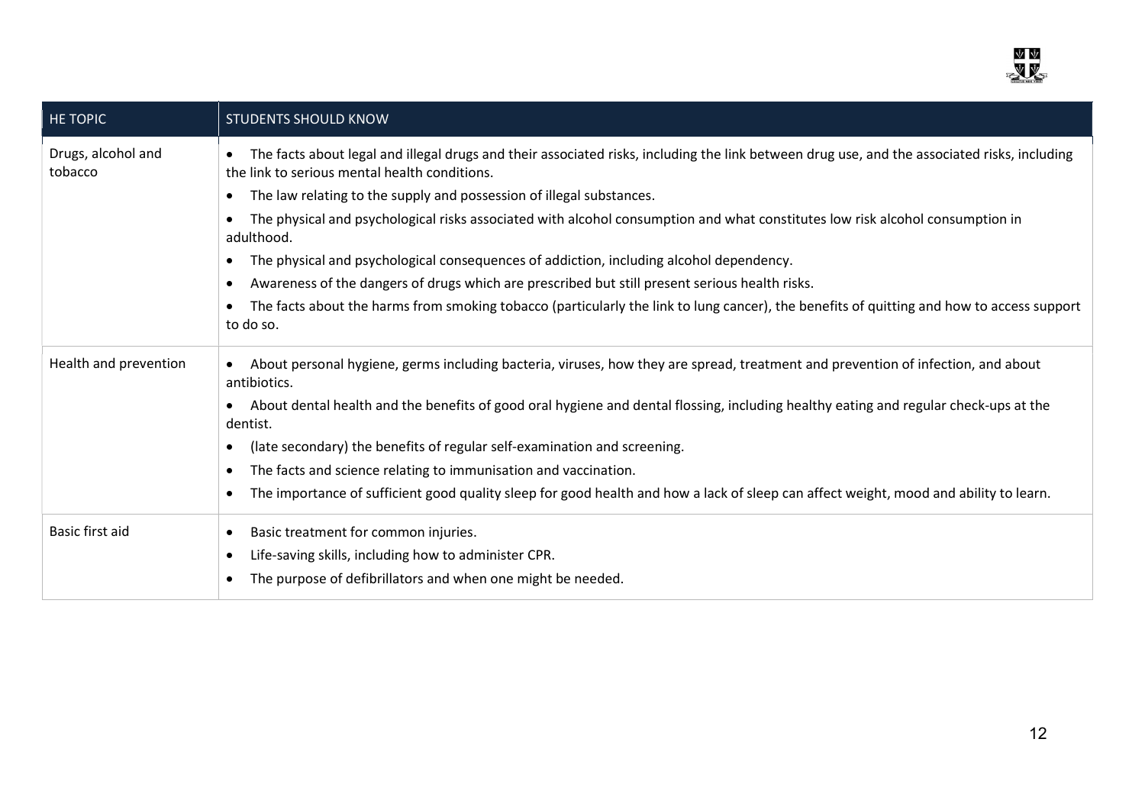

| <b>HE TOPIC</b>               | <b>STUDENTS SHOULD KNOW</b>                                                                                                                                                                                |
|-------------------------------|------------------------------------------------------------------------------------------------------------------------------------------------------------------------------------------------------------|
| Drugs, alcohol and<br>tobacco | The facts about legal and illegal drugs and their associated risks, including the link between drug use, and the associated risks, including<br>$\bullet$<br>the link to serious mental health conditions. |
|                               | The law relating to the supply and possession of illegal substances.<br>$\bullet$                                                                                                                          |
|                               | The physical and psychological risks associated with alcohol consumption and what constitutes low risk alcohol consumption in<br>$\bullet$<br>adulthood.                                                   |
|                               | The physical and psychological consequences of addiction, including alcohol dependency.<br>$\bullet$                                                                                                       |
|                               | Awareness of the dangers of drugs which are prescribed but still present serious health risks.<br>$\bullet$                                                                                                |
|                               | The facts about the harms from smoking tobacco (particularly the link to lung cancer), the benefits of quitting and how to access support<br>$\bullet$<br>to do so.                                        |
| Health and prevention         | About personal hygiene, germs including bacteria, viruses, how they are spread, treatment and prevention of infection, and about<br>$\bullet$<br>antibiotics.                                              |
|                               | About dental health and the benefits of good oral hygiene and dental flossing, including healthy eating and regular check-ups at the<br>$\bullet$<br>dentist.                                              |
|                               | (late secondary) the benefits of regular self-examination and screening.<br>$\bullet$                                                                                                                      |
|                               | The facts and science relating to immunisation and vaccination.<br>$\bullet$                                                                                                                               |
|                               | The importance of sufficient good quality sleep for good health and how a lack of sleep can affect weight, mood and ability to learn.<br>$\bullet$                                                         |
| Basic first aid               | Basic treatment for common injuries.<br>$\bullet$                                                                                                                                                          |
|                               | Life-saving skills, including how to administer CPR.<br>$\bullet$                                                                                                                                          |
|                               | The purpose of defibrillators and when one might be needed.<br>$\bullet$                                                                                                                                   |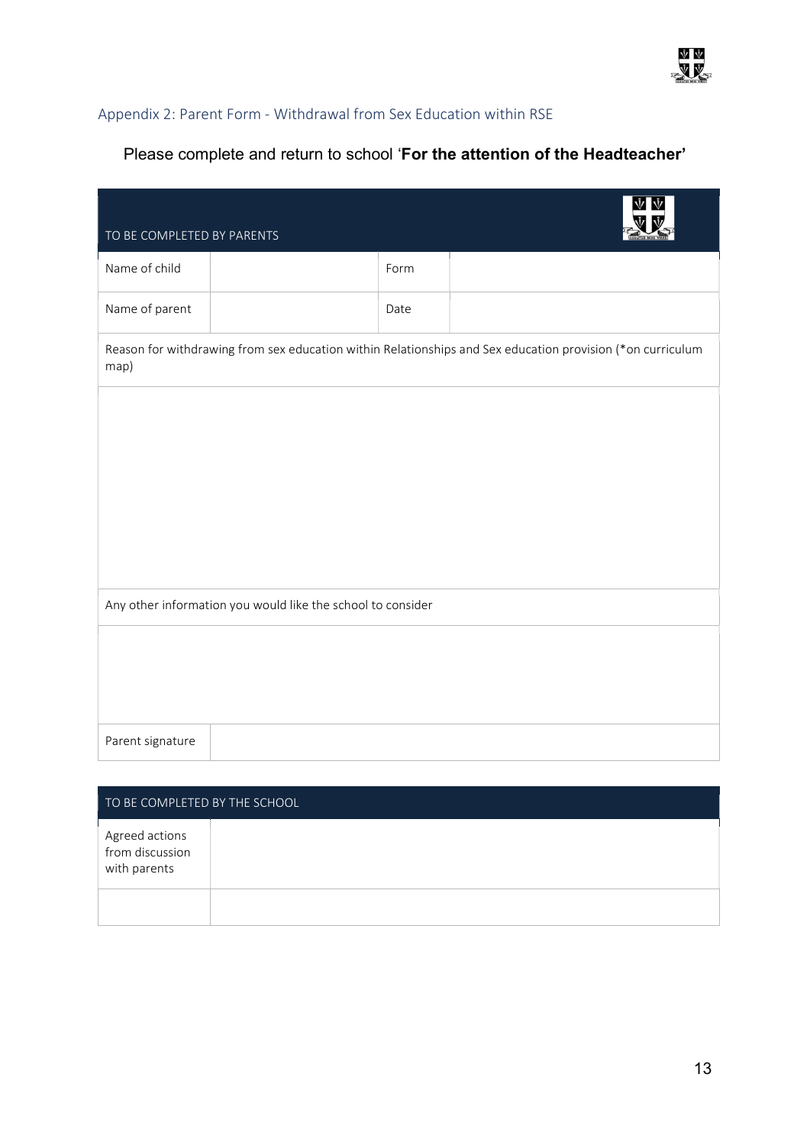## Appendix 2: Parent Form - Withdrawal from Sex Education within RSE

# Please complete and return to school 'For the attention of the Headteacher'

| TO BE COMPLETED BY PARENTS                                  |                                                                                                            |      |  |
|-------------------------------------------------------------|------------------------------------------------------------------------------------------------------------|------|--|
| Name of child                                               |                                                                                                            | Form |  |
| Name of parent                                              |                                                                                                            | Date |  |
| map)                                                        | Reason for withdrawing from sex education within Relationships and Sex education provision (*on curriculum |      |  |
|                                                             |                                                                                                            |      |  |
|                                                             |                                                                                                            |      |  |
|                                                             |                                                                                                            |      |  |
|                                                             |                                                                                                            |      |  |
| Any other information you would like the school to consider |                                                                                                            |      |  |
|                                                             |                                                                                                            |      |  |
|                                                             |                                                                                                            |      |  |
| Parent signature                                            |                                                                                                            |      |  |
|                                                             |                                                                                                            |      |  |
| TO BE COMPLETED BY THE SCHOOL                               |                                                                                                            |      |  |

| Agreed actions<br>from discussion<br>with parents |  |
|---------------------------------------------------|--|
|                                                   |  |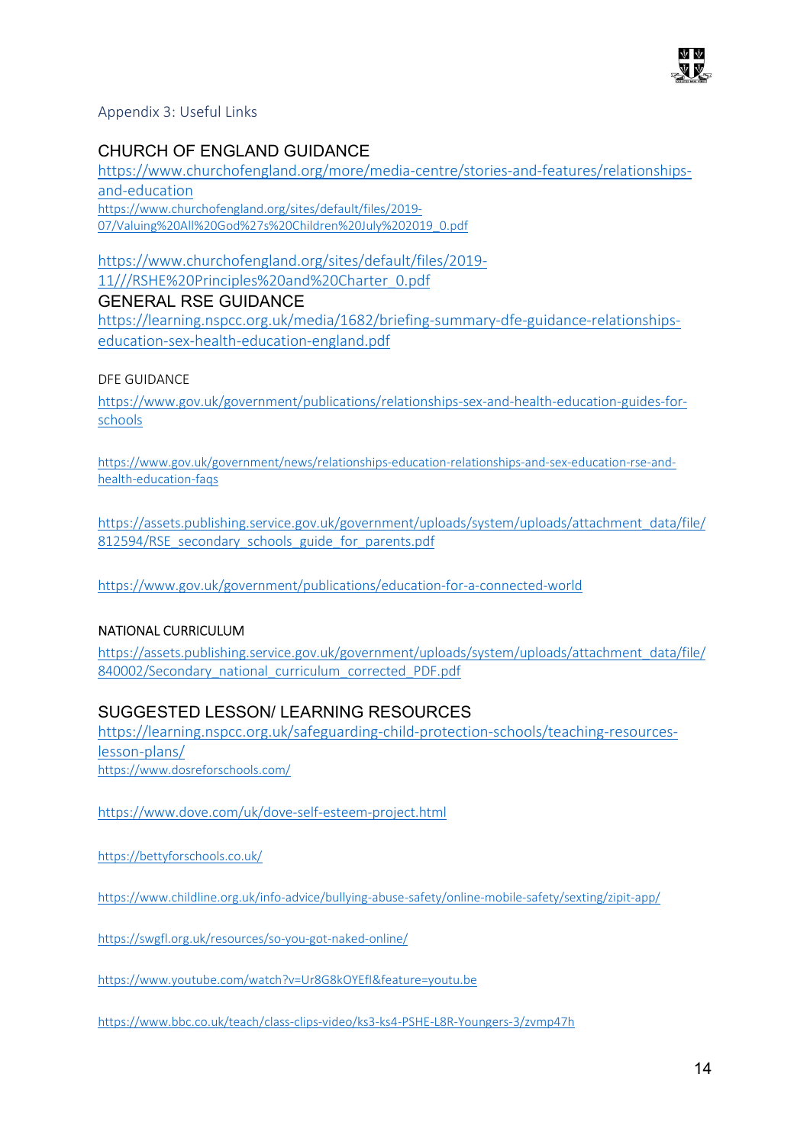

Appendix 3: Useful Links

# CHURCH OF ENGLAND GUIDANCE

https://www.churchofengland.org/more/media-centre/stories-and-features/relationshipsand-education https://www.churchofengland.org/sites/default/files/2019- 07/Valuing%20All%20God%27s%20Children%20July%202019\_0.pdf

https://www.churchofengland.org/sites/default/files/2019- 11///RSHE%20Principles%20and%20Charter\_0.pdf

## GENERAL RSE GUIDANCE

https://learning.nspcc.org.uk/media/1682/briefing-summary-dfe-guidance-relationshipseducation-sex-health-education-england.pdf

## DFE GUIDANCE

https://www.gov.uk/government/publications/relationships-sex-and-health-education-guides-forschools

https://www.gov.uk/government/news/relationships-education-relationships-and-sex-education-rse-andhealth-education-faqs

https://assets.publishing.service.gov.uk/government/uploads/system/uploads/attachment\_data/file/ 812594/RSE\_secondary\_schools\_guide\_for\_parents.pdf

https://www.gov.uk/government/publications/education-for-a-connected-world

## NATIONAL CURRICULUM

https://assets.publishing.service.gov.uk/government/uploads/system/uploads/attachment\_data/file/ 840002/Secondary\_national\_curriculum\_corrected\_PDF.pdf

# SUGGESTED LESSON/ LEARNING RESOURCES

https://learning.nspcc.org.uk/safeguarding-child-protection-schools/teaching-resourceslesson-plans/ https://www.dosreforschools.com/

https://www.dove.com/uk/dove-self-esteem-project.html

https://bettyforschools.co.uk/

https://www.childline.org.uk/info-advice/bullying-abuse-safety/online-mobile-safety/sexting/zipit-app/

https://swgfl.org.uk/resources/so-you-got-naked-online/

https://www.youtube.com/watch?v=Ur8G8kOYEfI&feature=youtu.be

https://www.bbc.co.uk/teach/class-clips-video/ks3-ks4-PSHE-L8R-Youngers-3/zvmp47h